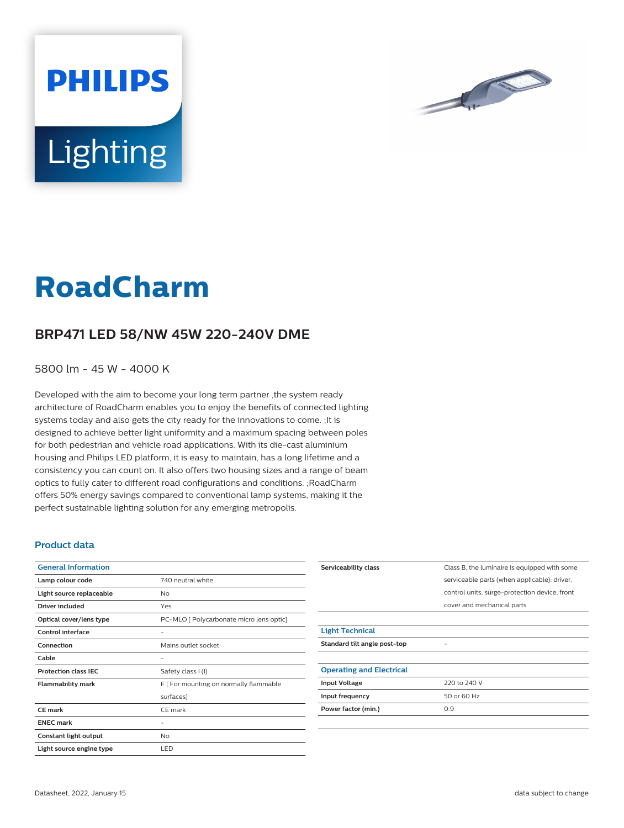

# **Lighting**

**PHILIPS** 

# **RoadCharm**

## **BRP471 LED 58/NW 45W 220-240V DME**

5800 lm - 45 W - 4000 K

Developed with the aim to become your long term partner ,the system ready architecture of RoadCharm enables you to enjoy the benefits of connected lighting systems today and also gets the city ready for the innovations to come. ;It is designed to achieve better light uniformity and a maximum spacing between poles for both pedestrian and vehicle road applications. With its die-cast aluminium housing and Philips LED platform, it is easy to maintain, has a long lifetime and a consistency you can count on. It also offers two housing sizes and a range of beam optics to fully cater to different road configurations and conditions. ;RoadCharm offers 50% energy savings compared to conventional lamp systems, making it the perfect sustainable lighting solution for any emerging metropolis.

#### **Product data**

| <b>General Information</b>  |                                          |
|-----------------------------|------------------------------------------|
| Lamp colour code            | 740 neutral white                        |
| Light source replaceable    | No                                       |
| <b>Driver included</b>      | Yes                                      |
| Optical cover/lens type     | PC-MLO [ Polycarbonate micro lens optic] |
| Control interface           |                                          |
| Connection                  | Mains outlet socket                      |
| Cable                       |                                          |
| <b>Protection class IEC</b> | Safety class I (I)                       |
| <b>Flammability mark</b>    | F [ For mounting on normally flammable   |
|                             | surfaces]                                |
| <b>CE</b> mark              | CE mark                                  |
| <b>ENEC mark</b>            |                                          |
| Constant light output       | <b>No</b>                                |
| Light source engine type    | LED                                      |

| Serviceability class            | Class B, the luminaire is equipped with some  |
|---------------------------------|-----------------------------------------------|
|                                 | serviceable parts (when applicable): driver,  |
|                                 | control units, surge-protection device, front |
|                                 | cover and mechanical parts                    |
|                                 |                                               |
| <b>Light Technical</b>          |                                               |
| Standard tilt angle post-top    |                                               |
|                                 |                                               |
| <b>Operating and Electrical</b> |                                               |
| <b>Input Voltage</b>            | 220 to 240 V                                  |
| Input frequency                 | 50 or 60 Hz                                   |
| Power factor (min.)             | 0.9                                           |
|                                 |                                               |